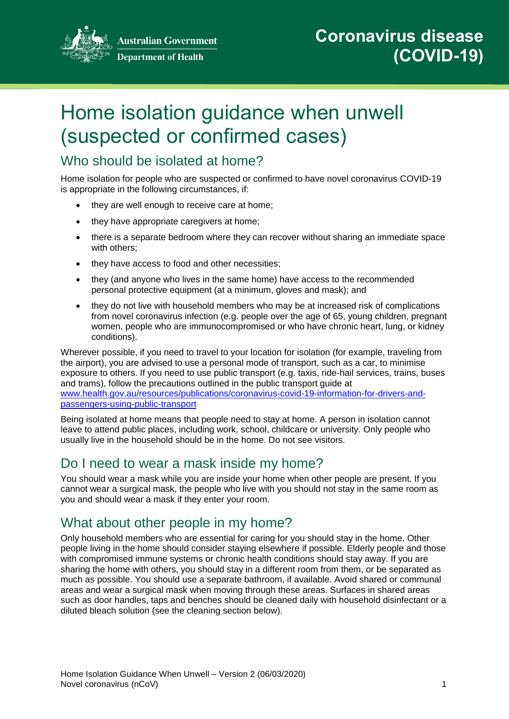

**Australian Government Department of Health** 

# Home isolation guidance when unwell (suspected or confirmed cases)

## Who should be isolated at home?

Home isolation for people who are suspected or confirmed to have novel coronavirus COVID-19 is appropriate in the following circumstances, if:

- they are well enough to receive care at home;
- they have appropriate caregivers at home:
- there is a separate bedroom where they can recover without sharing an immediate space with others;
- they have access to food and other necessities;
- they (and anyone who lives in the same home) have access to the recommended personal protective equipment (at a minimum, gloves and mask); and
- they do not live with household members who may be at increased risk of complications from novel coronavirus infection (e.g. people over the age of 65, young children, pregnant women, people who are immunocompromised or who have chronic heart, lung, or kidney conditions).

Wherever possible, if you need to travel to your location for isolation (for example, traveling from the airport), you are advised to use a personal mode of transport, such as a car, to minimise exposure to others. If you need to use public transport (e.g. taxis, ride-hail services, trains, buses and trams), follow the precautions outlined in the public transport guide at [www.health.gov.au/resources/publications/coronavirus-covid-19-information-for-drivers-and](https://www.health.gov.au/resources/publications/coronavirus-covid-19-information-for-drivers-and-passengers-using-public-transport)[passengers-using-public-transport](https://www.health.gov.au/resources/publications/coronavirus-covid-19-information-for-drivers-and-passengers-using-public-transport)

Being isolated at home means that people need to stay at home. A person in isolation cannot leave to attend public places, including work, school, childcare or university. Only people who usually live in the household should be in the home. Do not see visitors.

## Do I need to wear a mask inside my home?

You should wear a mask while you are inside your home when other people are present. If you cannot wear a surgical mask, the people who live with you should not stay in the same room as you and should wear a mask if they enter your room.

## What about other people in my home?

Only household members who are essential for caring for you should stay in the home. Other people living in the home should consider staying elsewhere if possible. Elderly people and those with compromised immune systems or chronic health conditions should stay away. If you are sharing the home with others, you should stay in a different room from them, or be separated as much as possible. You should use a separate bathroom, if available. Avoid shared or communal areas and wear a surgical mask when moving through these areas. Surfaces in shared areas such as door handles, taps and benches should be cleaned daily with household disinfectant or a diluted bleach solution (see the cleaning section below).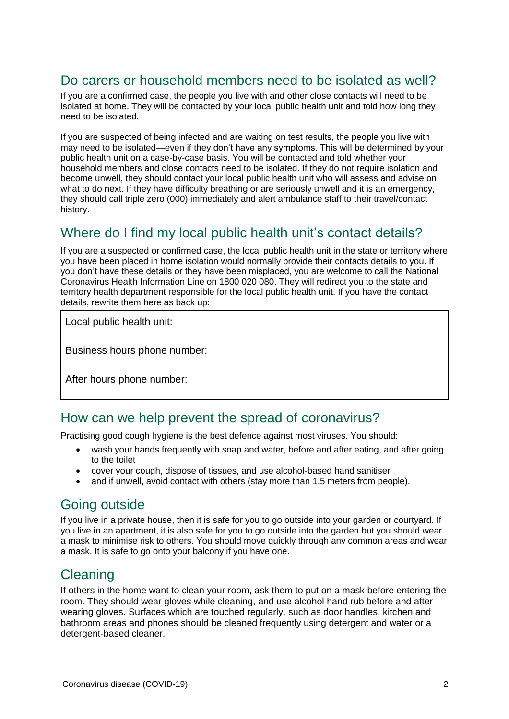## Do carers or household members need to be isolated as well?

If you are a confirmed case, the people you live with and other close contacts will need to be isolated at home. They will be contacted by your local public health unit and told how long they need to be isolated.

If you are suspected of being infected and are waiting on test results, the people you live with may need to be isolated—even if they don't have any symptoms. This will be determined by your public health unit on a case-by-case basis. You will be contacted and told whether your household members and close contacts need to be isolated. If they do not require isolation and become unwell, they should contact your local public health unit who will assess and advise on what to do next. If they have difficulty breathing or are seriously unwell and it is an emergency, they should call triple zero (000) immediately and alert ambulance staff to their travel/contact history.

## Where do I find my local public health unit's contact details?

If you are a suspected or confirmed case, the local public health unit in the state or territory where you have been placed in home isolation would normally provide their contacts details to you. If you don't have these details or they have been misplaced, you are welcome to call the National Coronavirus Health Information Line on 1800 020 080. They will redirect you to the state and territory health department responsible for the local public health unit. If you have the contact details, rewrite them here as back up:

Local public health unit:

Business hours phone number:

After hours phone number:

#### How can we help prevent the spread of coronavirus?

Practising good cough hygiene is the best defence against most viruses. You should:

- wash your hands frequently with soap and water, before and after eating, and after going to the toilet
- cover your cough, dispose of tissues, and use alcohol-based hand sanitiser
- and if unwell, avoid contact with others (stay more than 1.5 meters from people).

## Going outside

If you live in a private house, then it is safe for you to go outside into your garden or courtyard. If you live in an apartment, it is also safe for you to go outside into the garden but you should wear a mask to minimise risk to others. You should move quickly through any common areas and wear a mask. It is safe to go onto your balcony if you have one.

## **Cleaning**

If others in the home want to clean your room, ask them to put on a mask before entering the room. They should wear gloves while cleaning, and use alcohol hand rub before and after wearing gloves. Surfaces which are touched regularly, such as door handles, kitchen and bathroom areas and phones should be cleaned frequently using detergent and water or a detergent-based cleaner.